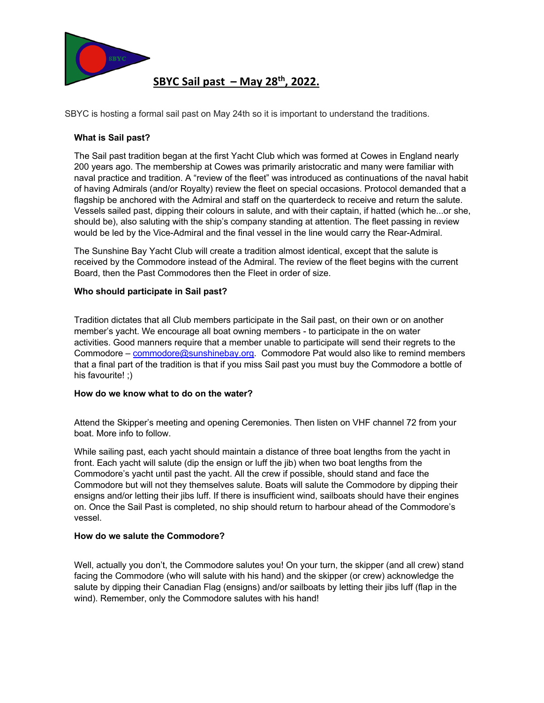

**SBYC Sail past – May 28th, 2022.**

SBYC is hosting a formal sail past on May 24th so it is important to understand the traditions.

# **What is Sail past?**

The Sail past tradition began at the first Yacht Club which was formed at Cowes in England nearly 200 years ago. The membership at Cowes was primarily aristocratic and many were familiar with naval practice and tradition. A "review of the fleet" was introduced as continuations of the naval habit of having Admirals (and/or Royalty) review the fleet on special occasions. Protocol demanded that a flagship be anchored with the Admiral and staff on the quarterdeck to receive and return the salute. Vessels sailed past, dipping their colours in salute, and with their captain, if hatted (which he...or she, should be), also saluting with the ship's company standing at attention. The fleet passing in review would be led by the Vice-Admiral and the final vessel in the line would carry the Rear-Admiral.

The Sunshine Bay Yacht Club will create a tradition almost identical, except that the salute is received by the Commodore instead of the Admiral. The review of the fleet begins with the current Board, then the Past Commodores then the Fleet in order of size.

## **Who should participate in Sail past?**

Tradition dictates that all Club members participate in the Sail past, on their own or on another member's yacht. We encourage all boat owning members - to participate in the on water activities. Good manners require that a member unable to participate will send their regrets to the Commodore – commodore@sunshinebay.org. Commodore Pat would also like to remind members that a final part of the tradition is that if you miss Sail past you must buy the Commodore a bottle of his favourite! ;)

#### **How do we know what to do on the water?**

Attend the Skipper's meeting and opening Ceremonies. Then listen on VHF channel 72 from your boat. More info to follow.

While sailing past, each yacht should maintain a distance of three boat lengths from the yacht in front. Each yacht will salute (dip the ensign or luff the jib) when two boat lengths from the Commodore's yacht until past the yacht. All the crew if possible, should stand and face the Commodore but will not they themselves salute. Boats will salute the Commodore by dipping their ensigns and/or letting their jibs luff. If there is insufficient wind, sailboats should have their engines on. Once the Sail Past is completed, no ship should return to harbour ahead of the Commodore's vessel.

#### **How do we salute the Commodore?**

Well, actually you don't, the Commodore salutes you! On your turn, the skipper (and all crew) stand facing the Commodore (who will salute with his hand) and the skipper (or crew) acknowledge the salute by dipping their Canadian Flag (ensigns) and/or sailboats by letting their jibs luff (flap in the wind). Remember, only the Commodore salutes with his hand!